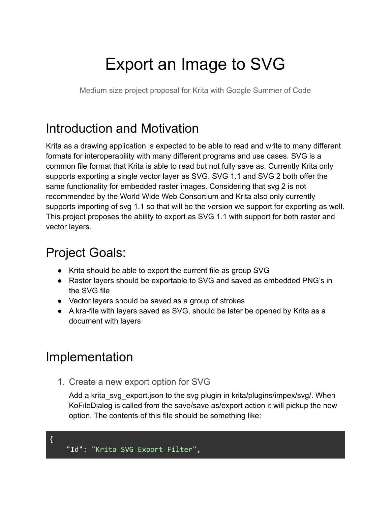# Export an Image to SVG

Medium size project proposal for Krita with Google Summer of Code

# Introduction and Motivation

Krita as a drawing application is expected to be able to read and write to many different formats for interoperability with many different programs and use cases. SVG is a common file format that Krita is able to read but not fully save as. Currently Krita only supports exporting a single vector layer as SVG. SVG 1.1 and SVG 2 both offer the same functionality for embedded raster images. Considering that svg 2 is not recommended by the World Wide Web Consortium and Krita also only currently supports importing of svg 1.1 so that will be the version we support for exporting as well. This project proposes the ability to export as SVG 1.1 with support for both raster and vector layers.

# Project Goals:

- Krita should be able to export the current file as group SVG
- Raster layers should be exportable to SVG and saved as embedded PNG's in the SVG file
- Vector layers should be saved as a group of strokes
- A kra-file with layers saved as SVG, should be later be opened by Krita as a document with layers

# Implementation

1. Create a new export option for SVG

Add a krita\_svg\_export.json to the svg plugin in krita/plugins/impex/svg/. When KoFileDialog is called from the save/save as/export action it will pickup the new option. The contents of this file should be something like:

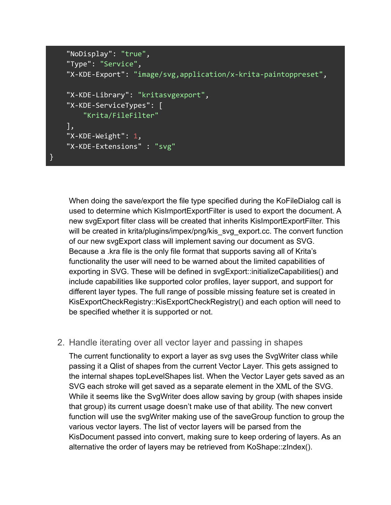```
"NoDisplay": "true",
"Type": "Service",
"X-KDE-Export": "image/svg,application/x-krita-paintoppreset",
"X-KDE-Library": "kritasvgexport",
"X-KDE-ServiceTypes": [
    "Krita/FileFilter"
],
"X-KDE-Weight": 1,"X-KDE-Extensions" : "svg"
```
}

When doing the save/export the file type specified during the KoFileDialog call is used to determine which KisImportExportFilter is used to export the document. A new svgExport filter class will be created that inherits KisImportExportFilter. This will be created in krita/plugins/impex/png/kis\_svg\_export.cc. The convert function of our new svgExport class will implement saving our document as SVG. Because a .kra file is the only file format that supports saving all of Krita's functionality the user will need to be warned about the limited capabilities of exporting in SVG. These will be defined in svgExport::initializeCapabilities() and include capabilities like supported color profiles, layer support, and support for different layer types. The full range of possible missing feature set is created in KisExportCheckRegistry::KisExportCheckRegistry() and each option will need to be specified whether it is supported or not.

#### 2. Handle iterating over all vector layer and passing in shapes

The current functionality to export a layer as svg uses the SvgWriter class while passing it a Qlist of shapes from the current Vector Layer. This gets assigned to the internal shapes topLevelShapes list. When the Vector Layer gets saved as an SVG each stroke will get saved as a separate element in the XML of the SVG. While it seems like the SvgWriter does allow saving by group (with shapes inside that group) its current usage doesn't make use of that ability. The new convert function will use the svgWriter making use of the saveGroup function to group the various vector layers. The list of vector layers will be parsed from the KisDocument passed into convert, making sure to keep ordering of layers. As an alternative the order of layers may be retrieved from KoShape::zIndex().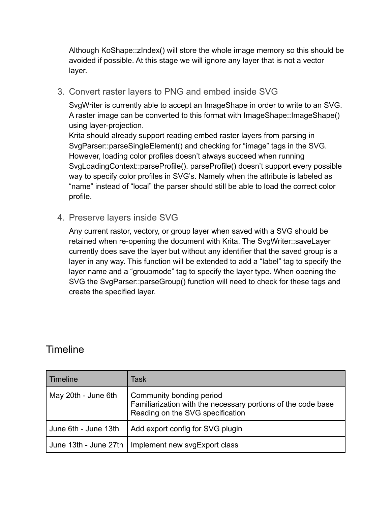Although KoShape::zIndex() will store the whole image memory so this should be avoided if possible. At this stage we will ignore any layer that is not a vector layer.

3. Convert raster layers to PNG and embed inside SVG

SvgWriter is currently able to accept an ImageShape in order to write to an SVG. A raster image can be converted to this format with ImageShape::ImageShape() using layer-projection.

Krita should already support reading embed raster layers from parsing in SvgParser::parseSingleElement() and checking for "image" tags in the SVG. However, loading color profiles doesn't always succeed when running SvgLoadingContext::parseProfile(). parseProfile() doesn't support every possible way to specify color profiles in SVG's. Namely when the attribute is labeled as "name" instead of "local" the parser should still be able to load the correct color profile.

4. Preserve layers inside SVG

Any current rastor, vectory, or group layer when saved with a SVG should be retained when re-opening the document with Krita. The SvgWriter::saveLayer currently does save the layer but without any identifier that the saved group is a layer in any way. This function will be extended to add a "label" tag to specify the layer name and a "groupmode" tag to specify the layer type. When opening the SVG the SvgParser::parseGroup() function will need to check for these tags and create the specified layer.

#### **Timeline**

| Timeline              | Task                                                                                                                         |
|-----------------------|------------------------------------------------------------------------------------------------------------------------------|
| May 20th - June 6th   | Community bonding period<br>Familiarization with the necessary portions of the code base<br>Reading on the SVG specification |
| June 6th - June 13th  | Add export config for SVG plugin                                                                                             |
| June 13th - June 27th | Implement new svgExport class                                                                                                |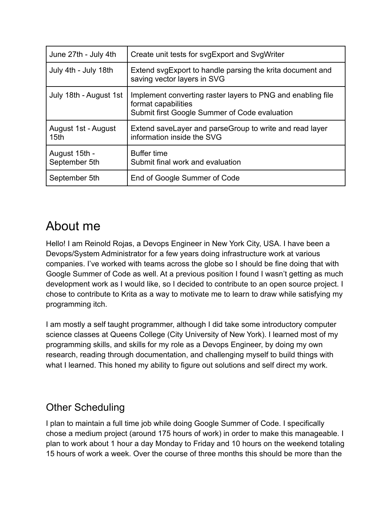| June 27th - July 4th                    | Create unit tests for svgExport and SvgWriter                                                                                       |
|-----------------------------------------|-------------------------------------------------------------------------------------------------------------------------------------|
| July 4th - July 18th                    | Extend sygExport to handle parsing the krita document and<br>saving vector layers in SVG                                            |
| July 18th - August 1st                  | Implement converting raster layers to PNG and enabling file<br>format capabilities<br>Submit first Google Summer of Code evaluation |
| August 1st - August<br>15 <sub>th</sub> | Extend save Layer and parse Group to write and read layer<br>information inside the SVG                                             |
| August 15th -<br>September 5th          | <b>Buffer time</b><br>Submit final work and evaluation                                                                              |
| September 5th                           | End of Google Summer of Code                                                                                                        |

## About me

Hello! I am Reinold Rojas, a Devops Engineer in New York City, USA. I have been a Devops/System Administrator for a few years doing infrastructure work at various companies. I've worked with teams across the globe so I should be fine doing that with Google Summer of Code as well. At a previous position I found I wasn't getting as much development work as I would like, so I decided to contribute to an open source project. I chose to contribute to Krita as a way to motivate me to learn to draw while satisfying my programming itch.

I am mostly a self taught programmer, although I did take some introductory computer science classes at Queens College (City University of New York). I learned most of my programming skills, and skills for my role as a Devops Engineer, by doing my own research, reading through documentation, and challenging myself to build things with what I learned. This honed my ability to figure out solutions and self direct my work.

### Other Scheduling

I plan to maintain a full time job while doing Google Summer of Code. I specifically chose a medium project (around 175 hours of work) in order to make this manageable. I plan to work about 1 hour a day Monday to Friday and 10 hours on the weekend totaling 15 hours of work a week. Over the course of three months this should be more than the